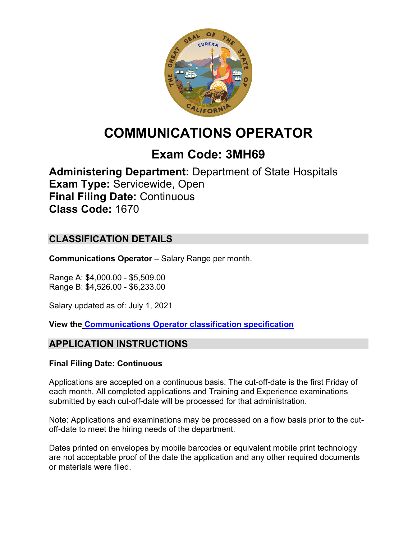

# **COMMUNICATIONS OPERATOR**

# **Exam Code: 3MH69**

**Administering Department:** Department of State Hospitals **Exam Type:** Servicewide, Open **Final Filing Date:** Continuous **Class Code:** 1670

# **CLASSIFICATION DETAILS**

**Communications Operator –** Salary Range per month.

Range A: \$4,000.00 - \$5,509.00 Range B: \$4,526.00 - \$6,233.00

Salary updated as of: July 1, 2021

**View the [Communications Operator classification specification](https://www.calhr.ca.gov/state-hr-professionals/pages/1670.aspx)**

# **APPLICATION INSTRUCTIONS**

### **Final Filing Date: Continuous**

Applications are accepted on a continuous basis. The cut-off-date is the first Friday of each month. All completed applications and Training and Experience examinations submitted by each cut-off-date will be processed for that administration.

Note: Applications and examinations may be processed on a flow basis prior to the cutoff-date to meet the hiring needs of the department.

Dates printed on envelopes by mobile barcodes or equivalent mobile print technology are not acceptable proof of the date the application and any other required documents or materials were filed.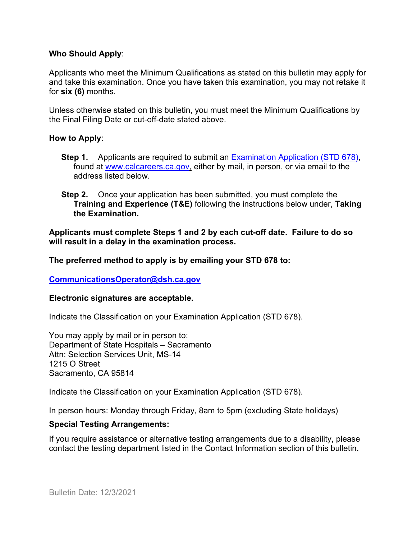#### **Who Should Apply**:

Applicants who meet the Minimum Qualifications as stated on this bulletin may apply for and take this examination. Once you have taken this examination, you may not retake it for **six (6)** months.

Unless otherwise stated on this bulletin, you must meet the Minimum Qualifications by the Final Filing Date or cut-off-date stated above.

#### **How to Apply**:

- **Step 1.** Applicants are required to submit an [Examination Application \(STD 678\),](https://jobs.ca.gov/pdf/std678.pdf) found at [www.calcareers.ca.gov,](http://www.calcareers.ca.gov/) either by mail, in person, or via email to the address listed below.
- **Step 2.** Once your application has been submitted, you must complete the **Training and Experience (T&E)** following the instructions below under, **Taking the Examination.**

**Applicants must complete Steps 1 and 2 by each cut-off date. Failure to do so will result in a delay in the examination process.**

**The preferred method to apply is by emailing your STD 678 to:**

**[CommunicationsOperator@dsh.ca.gov](mailto:CommunicationsOperator@dsh.ca.gov)**

#### **Electronic signatures are acceptable.**

Indicate the Classification on your Examination Application (STD 678).

You may apply by mail or in person to: Department of State Hospitals – Sacramento Attn: Selection Services Unit, MS-14 1215 O Street Sacramento, CA 95814

Indicate the Classification on your Examination Application (STD 678).

In person hours: Monday through Friday, 8am to 5pm (excluding State holidays)

#### **Special Testing Arrangements:**

If you require assistance or alternative testing arrangements due to a disability, please contact the testing department listed in the Contact Information section of this bulletin.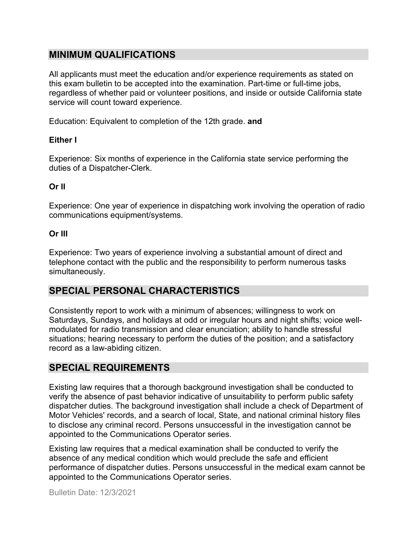# **MINIMUM QUALIFICATIONS**

All applicants must meet the education and/or experience requirements as stated on this exam bulletin to be accepted into the examination. Part-time or full-time jobs, regardless of whether paid or volunteer positions, and inside or outside California state service will count toward experience.

Education: Equivalent to completion of the 12th grade. **and**

## **Either I**

Experience: Six months of experience in the California state service performing the duties of a Dispatcher-Clerk.

## **Or II**

Experience: One year of experience in dispatching work involving the operation of radio communications equipment/systems.

## **Or III**

Experience: Two years of experience involving a substantial amount of direct and telephone contact with the public and the responsibility to perform numerous tasks simultaneously.

# **SPECIAL PERSONAL CHARACTERISTICS**

Consistently report to work with a minimum of absences; willingness to work on Saturdays, Sundays, and holidays at odd or irregular hours and night shifts; voice wellmodulated for radio transmission and clear enunciation; ability to handle stressful situations; hearing necessary to perform the duties of the position; and a satisfactory record as a law-abiding citizen.

# **SPECIAL REQUIREMENTS**

Existing law requires that a thorough background investigation shall be conducted to verify the absence of past behavior indicative of unsuitability to perform public safety dispatcher duties. The background investigation shall include a check of Department of Motor Vehicles' records, and a search of local, State, and national criminal history files to disclose any criminal record. Persons unsuccessful in the investigation cannot be appointed to the Communications Operator series.

Existing law requires that a medical examination shall be conducted to verify the absence of any medical condition which would preclude the safe and efficient performance of dispatcher duties. Persons unsuccessful in the medical exam cannot be appointed to the Communications Operator series.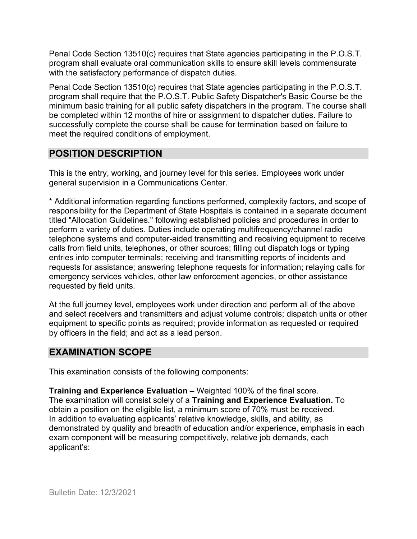Penal Code Section 13510(c) requires that State agencies participating in the P.O.S.T. program shall evaluate oral communication skills to ensure skill levels commensurate with the satisfactory performance of dispatch duties.

Penal Code Section 13510(c) requires that State agencies participating in the P.O.S.T. program shall require that the P.O.S.T. Public Safety Dispatcher's Basic Course be the minimum basic training for all public safety dispatchers in the program. The course shall be completed within 12 months of hire or assignment to dispatcher duties. Failure to successfully complete the course shall be cause for termination based on failure to meet the required conditions of employment.

# **POSITION DESCRIPTION**

This is the entry, working, and journey level for this series. Employees work under general supervision in a Communications Center.

\* Additional information regarding functions performed, complexity factors, and scope of responsibility for the Department of State Hospitals is contained in a separate document titled "Allocation Guidelines." following established policies and procedures in order to perform a variety of duties. Duties include operating multifrequency/channel radio telephone systems and computer-aided transmitting and receiving equipment to receive calls from field units, telephones, or other sources; filling out dispatch logs or typing entries into computer terminals; receiving and transmitting reports of incidents and requests for assistance; answering telephone requests for information; relaying calls for emergency services vehicles, other law enforcement agencies, or other assistance requested by field units.

At the full journey level, employees work under direction and perform all of the above and select receivers and transmitters and adjust volume controls; dispatch units or other equipment to specific points as required; provide information as requested or required by officers in the field; and act as a lead person.

# **EXAMINATION SCOPE**

This examination consists of the following components:

**Training and Experience Evaluation –** Weighted 100% of the final score. The examination will consist solely of a **Training and Experience Evaluation.** To obtain a position on the eligible list, a minimum score of 70% must be received. In addition to evaluating applicants' relative knowledge, skills, and ability, as demonstrated by quality and breadth of education and/or experience, emphasis in each exam component will be measuring competitively, relative job demands, each applicant's: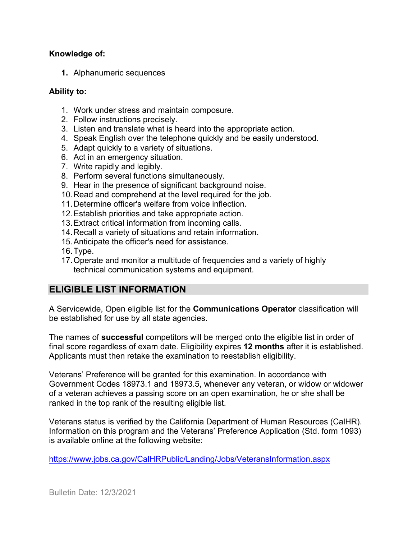### **Knowledge of:**

**1.** Alphanumeric sequences

## **Ability to:**

- 1. Work under stress and maintain composure.
- 2. Follow instructions precisely.
- 3. Listen and translate what is heard into the appropriate action.
- 4. Speak English over the telephone quickly and be easily understood.
- 5. Adapt quickly to a variety of situations.
- 6. Act in an emergency situation.
- 7. Write rapidly and legibly.
- 8. Perform several functions simultaneously.
- 9. Hear in the presence of significant background noise.
- 10.Read and comprehend at the level required for the job.
- 11.Determine officer's welfare from voice inflection.
- 12.Establish priorities and take appropriate action.
- 13.Extract critical information from incoming calls.
- 14.Recall a variety of situations and retain information.
- 15.Anticipate the officer's need for assistance.
- 16.Type.
- 17.Operate and monitor a multitude of frequencies and a variety of highly technical communication systems and equipment.

# **ELIGIBLE LIST INFORMATION**

A Servicewide, Open eligible list for the **Communications Operator** classification will be established for use by all state agencies.

The names of **successful** competitors will be merged onto the eligible list in order of final score regardless of exam date. Eligibility expires **12 months** after it is established. Applicants must then retake the examination to reestablish eligibility.

Veterans' Preference will be granted for this examination. In accordance with Government Codes 18973.1 and 18973.5, whenever any veteran, or widow or widower of a veteran achieves a passing score on an open examination, he or she shall be ranked in the top rank of the resulting eligible list.

Veterans status is verified by the California Department of Human Resources (CalHR). Information on this program and the Veterans' Preference Application (Std. form 1093) is available online at the following website:

<https://www.jobs.ca.gov/CalHRPublic/Landing/Jobs/VeteransInformation.aspx>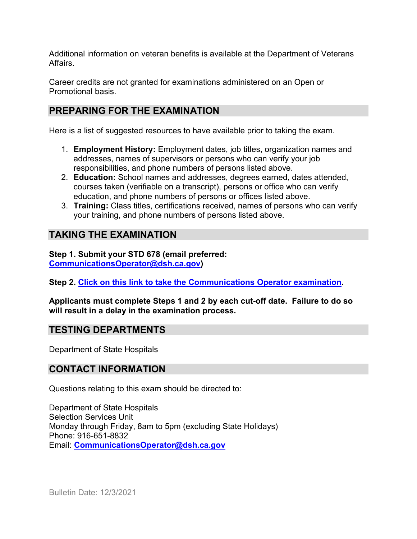Additional information on veteran benefits is available at the Department of Veterans Affairs.

Career credits are not granted for examinations administered on an Open or Promotional basis.

# **PREPARING FOR THE EXAMINATION**

Here is a list of suggested resources to have available prior to taking the exam.

- 1. **Employment History:** Employment dates, job titles, organization names and addresses, names of supervisors or persons who can verify your job responsibilities, and phone numbers of persons listed above.
- 2. **Education:** School names and addresses, degrees earned, dates attended, courses taken (verifiable on a transcript), persons or office who can verify education, and phone numbers of persons or offices listed above.
- 3. **Training:** Class titles, certifications received, names of persons who can verify your training, and phone numbers of persons listed above.

# **TAKING THE EXAMINATION**

**Step 1. Submit your STD 678 (email preferred: [CommunicationsOperator@dsh.ca.gov\)](mailto:CommunicationsOperator@dsh.ca.gov)** 

**Step 2. [Click on this link to take the Communications Operator examination.](https://www.surveymonkey.com/r/YPMM6MM)**

**Applicants must complete Steps 1 and 2 by each cut-off date. Failure to do so will result in a delay in the examination process.**

## **TESTING DEPARTMENTS**

Department of State Hospitals

# **CONTACT INFORMATION**

Questions relating to this exam should be directed to:

Department of State Hospitals Selection Services Unit Monday through Friday, 8am to 5pm (excluding State Holidays) Phone: 916-651-8832 Email: **[CommunicationsOperator@dsh.ca.gov](mailto:CommunicationsOperator@dsh.ca.gov)**

Bulletin Date: 12/3/2021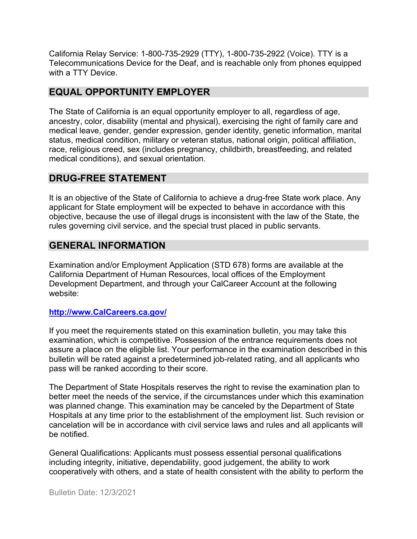California Relay Service: 1-800-735-2929 (TTY), 1-800-735-2922 (Voice). TTY is a Telecommunications Device for the Deaf, and is reachable only from phones equipped with a TTY Device.

# **EQUAL OPPORTUNITY EMPLOYER**

The State of California is an equal opportunity employer to all, regardless of age, ancestry, color, disability (mental and physical), exercising the right of family care and medical leave, gender, gender expression, gender identity, genetic information, marital status, medical condition, military or veteran status, national origin, political affiliation, race, religious creed, sex (includes pregnancy, childbirth, breastfeeding, and related medical conditions), and sexual orientation.

## **DRUG-FREE STATEMENT**

It is an objective of the State of California to achieve a drug-free State work place. Any applicant for State employment will be expected to behave in accordance with this objective, because the use of illegal drugs is inconsistent with the law of the State, the rules governing civil service, and the special trust placed in public servants.

# **GENERAL INFORMATION**

Examination and/or Employment Application (STD 678) forms are available at the California Department of Human Resources, local offices of the Employment Development Department, and through your CalCareer Account at the following website:

### **http://www.CalCareers.ca.gov/**

If you meet the requirements stated on this examination bulletin, you may take this examination, which is competitive. Possession of the entrance requirements does not assure a place on the eligible list. Your performance in the examination described in this bulletin will be rated against a predetermined job-related rating, and all applicants who pass will be ranked according to their score.

The Department of State Hospitals reserves the right to revise the examination plan to better meet the needs of the service, if the circumstances under which this examination was planned change. This examination may be canceled by the Department of State Hospitals at any time prior to the establishment of the employment list. Such revision or cancelation will be in accordance with civil service laws and rules and all applicants will be notified.

General Qualifications: Applicants must possess essential personal qualifications including integrity, initiative, dependability, good judgement, the ability to work cooperatively with others, and a state of health consistent with the ability to perform the